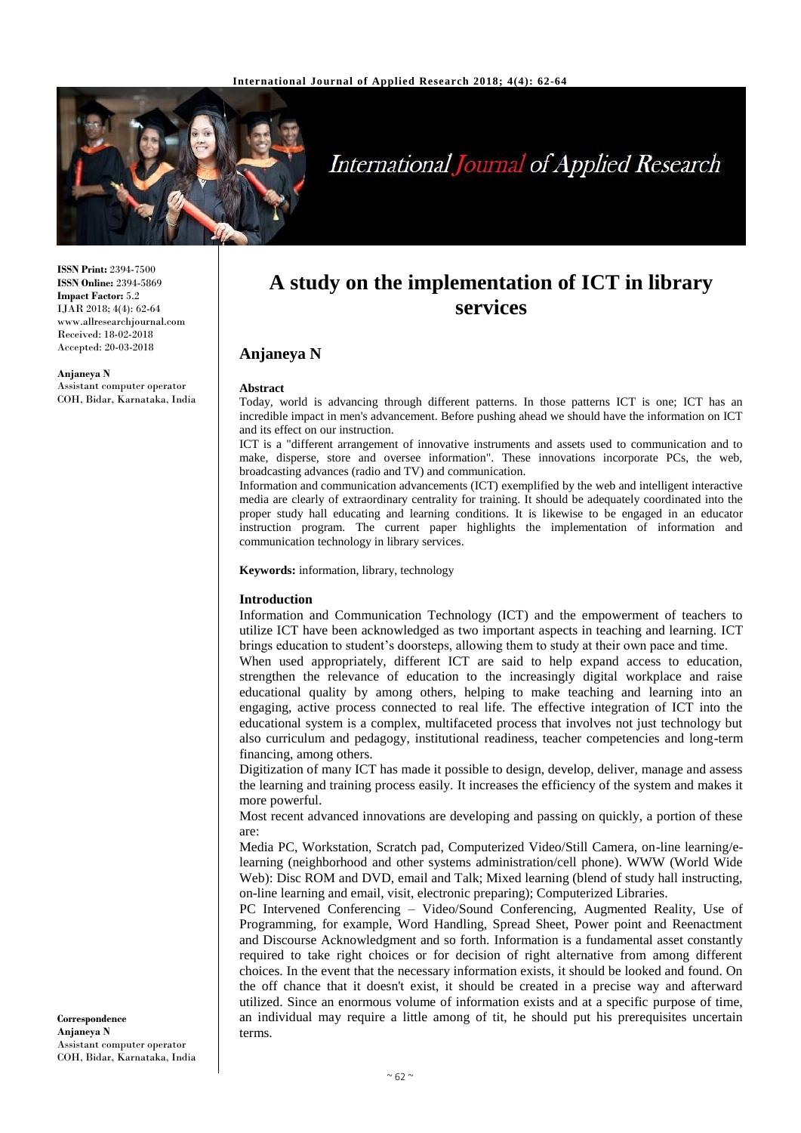

# **International Journal of Applied Research**

**ISSN Print:** 2394-7500 **ISSN Online:** 2394-5869 **Impact Factor:** 5.2 IJAR 2018; 4(4): 62-64 www.allresearchjournal.com Received: 18-02-2018 Accepted: 20-03-2018

**Anjaneya N** Assistant computer operator COH, Bidar, Karnataka, India

## **A study on the implementation of ICT in library services**

### **Anjaneya N**

#### **Abstract**

Today, world is advancing through different patterns. In those patterns ICT is one; ICT has an incredible impact in men's advancement. Before pushing ahead we should have the information on ICT and its effect on our instruction.

ICT is a "different arrangement of innovative instruments and assets used to communication and to make, disperse, store and oversee information". These innovations incorporate PCs, the web, broadcasting advances (radio and TV) and communication.

Information and communication advancements (ICT) exemplified by the web and intelligent interactive media are clearly of extraordinary centrality for training. It should be adequately coordinated into the proper study hall educating and learning conditions. It is likewise to be engaged in an educator instruction program. The current paper highlights the implementation of information and communication technology in library services.

**Keywords:** information, library, technology

#### **Introduction**

Information and Communication Technology (ICT) and the empowerment of teachers to utilize ICT have been acknowledged as two important aspects in teaching and learning. ICT brings education to student's doorsteps, allowing them to study at their own pace and time.

When used appropriately, different ICT are said to help expand access to education, strengthen the relevance of education to the increasingly digital workplace and raise educational quality by among others, helping to make teaching and learning into an engaging, active process connected to real life. The effective integration of ICT into the educational system is a complex, multifaceted process that involves not just technology but also curriculum and pedagogy, institutional readiness, teacher competencies and long-term financing, among others.

Digitization of many ICT has made it possible to design, develop, deliver, manage and assess the learning and training process easily. It increases the efficiency of the system and makes it more powerful.

Most recent advanced innovations are developing and passing on quickly, a portion of these are:

Media PC, Workstation, Scratch pad, Computerized Video/Still Camera, on-line learning/elearning (neighborhood and other systems administration/cell phone). WWW (World Wide Web): Disc ROM and DVD, email and Talk; Mixed learning (blend of study hall instructing, on-line learning and email, visit, electronic preparing); Computerized Libraries.

PC Intervened Conferencing – Video/Sound Conferencing, Augmented Reality, Use of Programming, for example, Word Handling, Spread Sheet, Power point and Reenactment and Discourse Acknowledgment and so forth. Information is a fundamental asset constantly required to take right choices or for decision of right alternative from among different choices. In the event that the necessary information exists, it should be looked and found. On the off chance that it doesn't exist, it should be created in a precise way and afterward utilized. Since an enormous volume of information exists and at a specific purpose of time, an individual may require a little among of tit, he should put his prerequisites uncertain terms.

**Correspondence Anjaneya N** Assistant computer operator COH, Bidar, Karnataka, India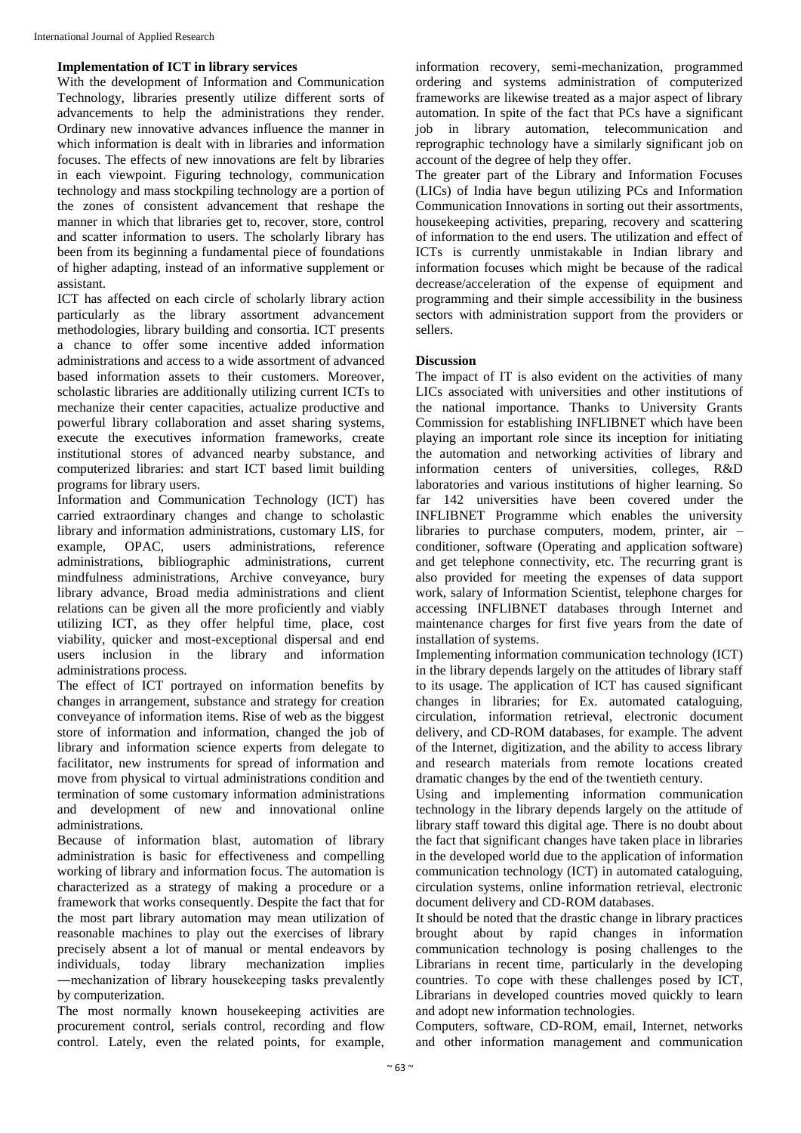#### **Implementation of ICT in library services**

With the development of Information and Communication Technology, libraries presently utilize different sorts of advancements to help the administrations they render. Ordinary new innovative advances influence the manner in which information is dealt with in libraries and information focuses. The effects of new innovations are felt by libraries in each viewpoint. Figuring technology, communication technology and mass stockpiling technology are a portion of the zones of consistent advancement that reshape the manner in which that libraries get to, recover, store, control and scatter information to users. The scholarly library has been from its beginning a fundamental piece of foundations of higher adapting, instead of an informative supplement or assistant.

ICT has affected on each circle of scholarly library action particularly as the library assortment advancement methodologies, library building and consortia. ICT presents a chance to offer some incentive added information administrations and access to a wide assortment of advanced based information assets to their customers. Moreover, scholastic libraries are additionally utilizing current ICTs to mechanize their center capacities, actualize productive and powerful library collaboration and asset sharing systems, execute the executives information frameworks, create institutional stores of advanced nearby substance, and computerized libraries: and start ICT based limit building programs for library users.

Information and Communication Technology (ICT) has carried extraordinary changes and change to scholastic library and information administrations, customary LIS, for example, OPAC, users administrations, reference administrations, bibliographic administrations, current mindfulness administrations, Archive conveyance, bury library advance, Broad media administrations and client relations can be given all the more proficiently and viably utilizing ICT, as they offer helpful time, place, cost viability, quicker and most-exceptional dispersal and end users inclusion in the library and information administrations process.

The effect of ICT portrayed on information benefits by changes in arrangement, substance and strategy for creation conveyance of information items. Rise of web as the biggest store of information and information, changed the job of library and information science experts from delegate to facilitator, new instruments for spread of information and move from physical to virtual administrations condition and termination of some customary information administrations and development of new and innovational online administrations.

Because of information blast, automation of library administration is basic for effectiveness and compelling working of library and information focus. The automation is characterized as a strategy of making a procedure or a framework that works consequently. Despite the fact that for the most part library automation may mean utilization of reasonable machines to play out the exercises of library precisely absent a lot of manual or mental endeavors by individuals, today library mechanization implies ―mechanization of library housekeeping tasks prevalently by computerization.

The most normally known housekeeping activities are procurement control, serials control, recording and flow control. Lately, even the related points, for example, information recovery, semi-mechanization, programmed ordering and systems administration of computerized frameworks are likewise treated as a major aspect of library automation. In spite of the fact that PCs have a significant job in library automation, telecommunication and reprographic technology have a similarly significant job on account of the degree of help they offer.

The greater part of the Library and Information Focuses (LICs) of India have begun utilizing PCs and Information Communication Innovations in sorting out their assortments, housekeeping activities, preparing, recovery and scattering of information to the end users. The utilization and effect of ICTs is currently unmistakable in Indian library and information focuses which might be because of the radical decrease/acceleration of the expense of equipment and programming and their simple accessibility in the business sectors with administration support from the providers or sellers.

#### **Discussion**

The impact of IT is also evident on the activities of many LICs associated with universities and other institutions of the national importance. Thanks to University Grants Commission for establishing INFLIBNET which have been playing an important role since its inception for initiating the automation and networking activities of library and information centers of universities, colleges, R&D laboratories and various institutions of higher learning. So far 142 universities have been covered under the INFLIBNET Programme which enables the university libraries to purchase computers, modem, printer, air – conditioner, software (Operating and application software) and get telephone connectivity, etc. The recurring grant is also provided for meeting the expenses of data support work, salary of Information Scientist, telephone charges for accessing INFLIBNET databases through Internet and maintenance charges for first five years from the date of installation of systems.

Implementing information communication technology (ICT) in the library depends largely on the attitudes of library staff to its usage. The application of ICT has caused significant changes in libraries; for Ex. automated cataloguing, circulation, information retrieval, electronic document delivery, and CD-ROM databases, for example. The advent of the Internet, digitization, and the ability to access library and research materials from remote locations created dramatic changes by the end of the twentieth century.

Using and implementing information communication technology in the library depends largely on the attitude of library staff toward this digital age. There is no doubt about the fact that significant changes have taken place in libraries in the developed world due to the application of information communication technology (ICT) in automated cataloguing, circulation systems, online information retrieval, electronic document delivery and CD-ROM databases.

It should be noted that the drastic change in library practices brought about by rapid changes in information communication technology is posing challenges to the Librarians in recent time, particularly in the developing countries. To cope with these challenges posed by ICT, Librarians in developed countries moved quickly to learn and adopt new information technologies.

Computers, software, CD-ROM, email, Internet, networks and other information management and communication